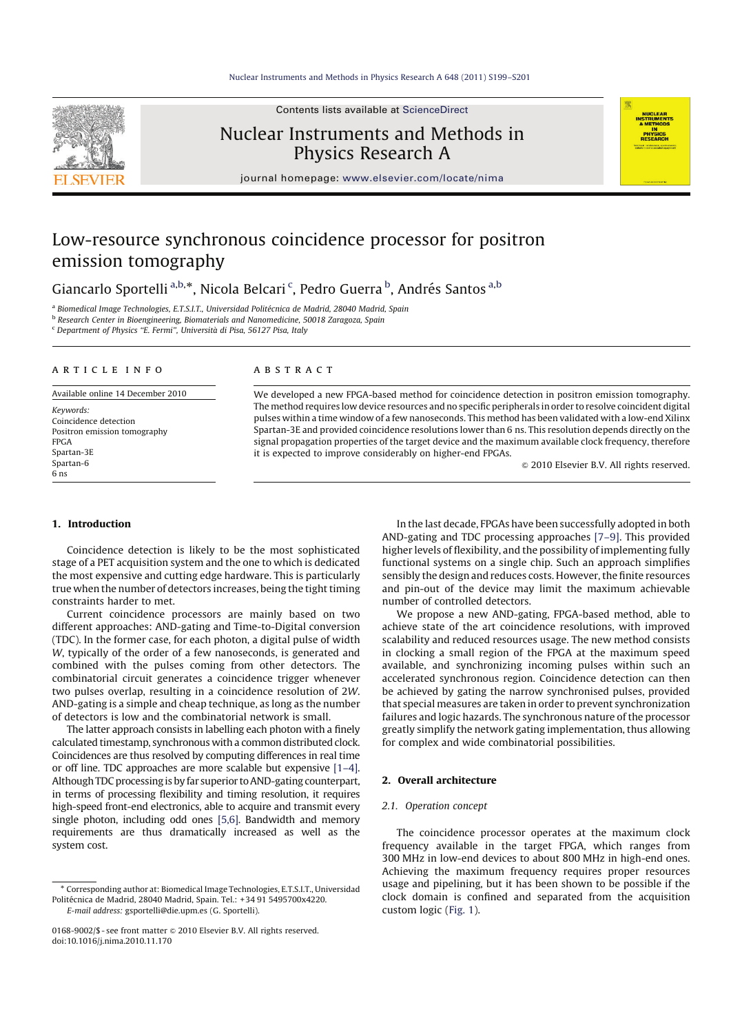Contents lists available at ScienceDirect

# Nuclear Instruments and Methods in Physics Research A

journal homepage: www.elsevier.com/locate/nima

# Low-resource synchronous coincidence processor for positron emission tomography

Giancarlo Sportelli <sup>a,b,</sup>\*, Nicola Belcari <sup>c</sup>, Pedro Guerra <sup>b</sup>, Andrés Santos <sup>a,b</sup>

<sup>a</sup> Biomedical Image Technologies, E.T.S.I.T., Universidad Politécnica de Madrid, 28040 Madrid, Spain

b *Research Center in Bioengineering, Biomaterials and Nanomedicine, 50018 Zaragoza, Spain*

<sup>c</sup> *Department of Physics ''E. Fermi'', Universita di Pisa, 56127 Pisa, Italy*

## a r t i c l e i n f o

Available online 14 December 2010

*Keywords:* Coincidence detection Positron emission tomography FPGA Spartan-3E Spartan-6 6 ns

## a b s t r a c t

We developed a new FPGA-based method for coincidence detection in positron emission tomography. The method requires low device resources and no specific peripherals in order to resolve coincident digital pulses within a time window of a few nanoseconds. This method has been validated with a low-end Xilinx Spartan-3E and provided coincidence resolutions lower than 6 ns. This resolution depends directly on the signal propagation properties of the target device and the maximum available clock frequency, therefore it is expected to improve considerably on higher-end FPGAs.

 $\odot$  2010 Elsevier B.V. All rights reserved.

**PHYSE**<br>RESEAR

## 1. Introduction

Coincidence detection is likely to be the most sophisticated stage of a PET acquisition system and the one to which is dedicated the most expensive and cutting edge hardware. This is particularly true when the number of detectors increases, being the tight timing constraints harder to met.

Current coincidence processors are mainly based on two different approaches: AND-gating and Time-to-Digital conversion (TDC). In the former case, for each photon, a digital pulse of width *W*, typically of the order of a few nanoseconds, is generated and combined with the pulses coming from other detectors. The combinatorial circuit generates a coincidence trigger whenever two pulses overlap, resulting in a coincidence resolution of 2*W*. AND-gating is a simple and cheap technique, as long as the number of detectors is low and the combinatorial network is small.

The latter approach consists in labelling each photon with a finely calculated timestamp, synchronous with a common distributed clock. Coincidences are thus resolved by computing differences in real time or off line. TDC approaches are more scalable but expensive [1–4]. Although TDC processing is by far superior to AND-gating counterpart, in terms of processing flexibility and timing resolution, it requires high-speed front-end electronics, able to acquire and transmit every single photon, including odd ones [5,6]. Bandwidth and memory requirements are thus dramatically increased as well as the system cost.

In the last decade, FPGAs have been successfully adopted in both AND-gating and TDC processing approaches [7–9]. This provided higher levels of flexibility, and the possibility of implementing fully functional systems on a single chip. Such an approach simplifies sensibly the design and reduces costs. However, the finite resources and pin-out of the device may limit the maximum achievable number of controlled detectors.

We propose a new AND-gating, FPGA-based method, able to achieve state of the art coincidence resolutions, with improved scalability and reduced resources usage. The new method consists in clocking a small region of the FPGA at the maximum speed available, and synchronizing incoming pulses within such an accelerated synchronous region. Coincidence detection can then be achieved by gating the narrow synchronised pulses, provided that special measures are taken in order to prevent synchronization failures and logic hazards. The synchronous nature of the processor greatly simplify the network gating implementation, thus allowing for complex and wide combinatorial possibilities.

## 2. Overall architecture

#### *2.1. Operation concept*

The coincidence processor operates at the maximum clock frequency available in the target FPGA, which ranges from 300 MHz in low-end devices to about 800 MHz in high-end ones. Achieving the maximum frequency requires proper resources usage and pipelining, but it has been shown to be possible if the clock domain is confined and separated from the acquisition custom logic (Fig. 1).



Corresponding author at: Biomedical Image Technologies, E.T.S.I.T., Universidad Politécnica de Madrid, 28040 Madrid, Spain. Tel.: +34 91 5495700x4220. *E-mail address:* gsportelli@die.upm.es (G. Sportelli).

<sup>0168-9002/\$ -</sup> see front matter  $\odot$  2010 Elsevier B.V. All rights reserved. doi:10.1016/j.nima.2010.11.170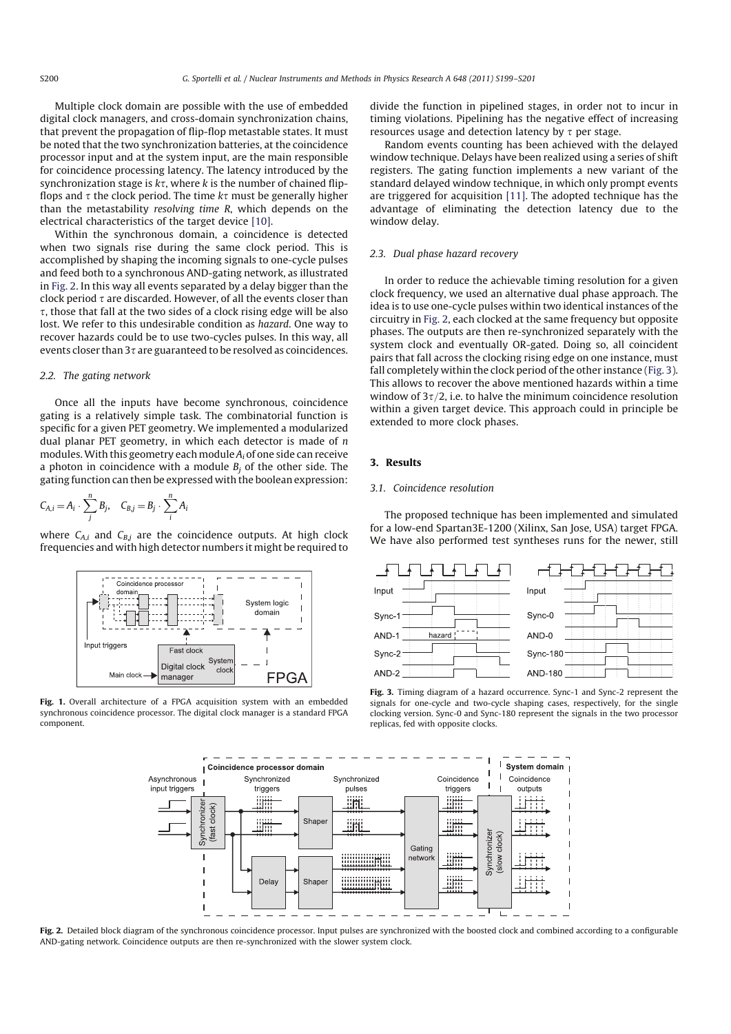Multiple clock domain are possible with the use of embedded digital clock managers, and cross-domain synchronization chains, that prevent the propagation of flip-flop metastable states. It must be noted that the two synchronization batteries, at the coincidence processor input and at the system input, are the main responsible for coincidence processing latency. The latency introduced by the synchronization stage is  $k\tau$ , where  $k$  is the number of chained flipflops and  $\tau$  the clock period. The time  $k\tau$  must be generally higher than the metastability *resolving time R*, which depends on the electrical characteristics of the target device [10].

Within the synchronous domain, a coincidence is detected when two signals rise during the same clock period. This is accomplished by shaping the incoming signals to one-cycle pulses and feed both to a synchronous AND-gating network, as illustrated in Fig. 2. In this way all events separated by a delay bigger than the clock period  $\tau$  are discarded. However, of all the events closer than  $\tau$ , those that fall at the two sides of a clock rising edge will be also lost. We refer to this undesirable condition as *hazard*. One way to recover hazards could be to use two-cycles pulses. In this way, all events closer than  $3\tau$  are guaranteed to be resolved as coincidences.

#### *2.2. The gating network*

Once all the inputs have become synchronous, coincidence gating is a relatively simple task. The combinatorial function is specific for a given PET geometry. We implemented a modularized dual planar PET geometry, in which each detector is made of *n* modules.With this geometry each module *A<sup>i</sup>* of one side can receive a photon in coincidence with a module  $B_i$  of the other side. The gating function can then be expressed with the boolean expression:

$$
C_{A,i} = A_i \cdot \sum_j^n B_j, \quad C_{B,j} = B_j \cdot \sum_i^n A_i
$$

where  $C_{A,i}$  and  $C_{B,j}$  are the coincidence outputs. At high clock frequencies and with high detector numbers it might be required to



Fig. 1. Overall architecture of a FPGA acquisition system with an embedded synchronous coincidence processor. The digital clock manager is a standard FPGA component.

divide the function in pipelined stages, in order not to incur in timing violations. Pipelining has the negative effect of increasing resources usage and detection latency by  $\tau$  per stage.

Random events counting has been achieved with the delayed window technique. Delays have been realized using a series of shift registers. The gating function implements a new variant of the standard delayed window technique, in which only prompt events are triggered for acquisition [11]. The adopted technique has the advantage of eliminating the detection latency due to the window delay.

### *2.3. Dual phase hazard recovery*

In order to reduce the achievable timing resolution for a given clock frequency, we used an alternative dual phase approach. The idea is to use one-cycle pulses within two identical instances of the circuitry in Fig. 2, each clocked at the same frequency but opposite phases. The outputs are then re-synchronized separately with the system clock and eventually OR-gated. Doing so, all coincident pairs that fall across the clocking rising edge on one instance, must fall completely within the clock period of the other instance (Fig. 3). This allows to recover the above mentioned hazards within a time window of  $3\tau/2$ , i.e. to halve the minimum coincidence resolution within a given target device. This approach could in principle be extended to more clock phases.

## 3. Results

#### *3.1. Coincidence resolution*

The proposed technique has been implemented and simulated for a low-end Spartan3E-1200 (Xilinx, San Jose, USA) target FPGA. We have also performed test syntheses runs for the newer, still



Fig. 3. Timing diagram of a hazard occurrence. Sync-1 and Sync-2 represent the signals for one-cycle and two-cycle shaping cases, respectively, for the single clocking version. Sync-0 and Sync-180 represent the signals in the two processor replicas, fed with opposite clocks.



Fig. 2. Detailed block diagram of the synchronous coincidence processor. Input pulses are synchronized with the boosted clock and combined according to a configurable AND-gating network. Coincidence outputs are then re-synchronized with the slower system clock.